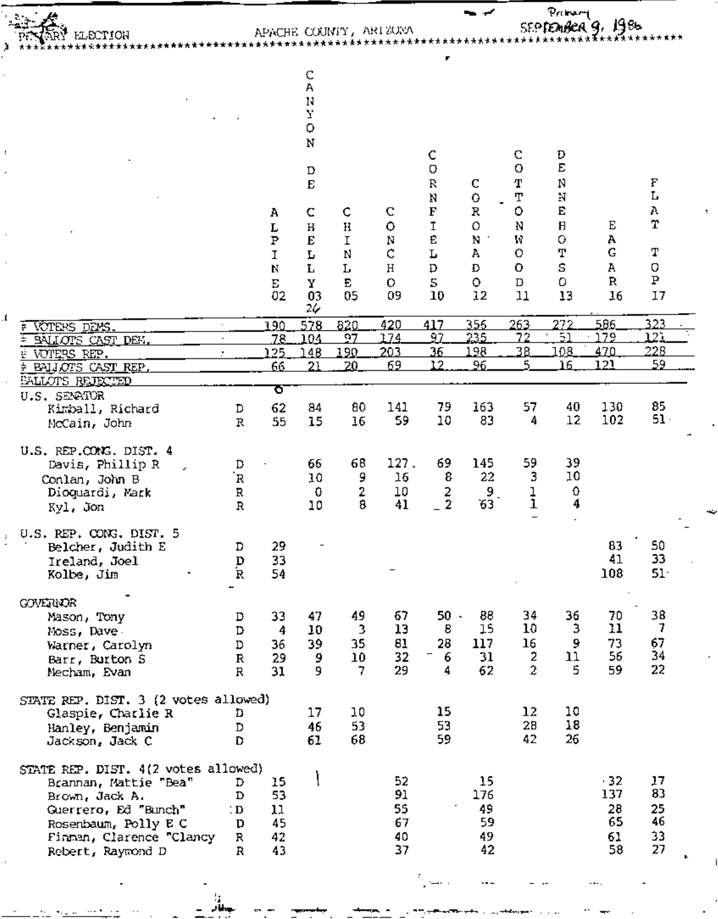|  |  | VARY LLECTION     |  |
|--|--|-------------------|--|
|  |  |                   |  |
|  |  | ***************** |  |

J.

## 

Privary<br>SEPTEMBER 9, 1986

مب

|                                                                                                                   |                            | Α<br>Г<br>$\, {\bf P}$<br>I<br>N<br>E<br>02 | C<br>Α<br>N<br>7,<br>$\circ$<br>N<br>$\mathbf D$<br>$\bf E$<br>C<br>Н<br>E<br>L<br>L<br>Y<br>03<br>26 | c<br>H<br>$\mathbf I$<br>N<br>L<br>E<br>05 | С<br>$\circ$<br>N<br>¢<br>H<br>$\mathbf O$<br>09 | C<br>O<br>$\mathbb R$<br>N<br>F<br>$\mathtt{T}$<br>Ē<br>L<br>D<br>5<br>10 | C<br>$\ddot{\rm{o}}$<br>R<br>O<br>N<br>А<br>D<br>o<br>12 | C<br>o<br>Т<br>T<br>o<br>N<br>W<br>O<br>$\mathbf 0$<br>$\mathbf D$<br>11 | D<br>E<br>N<br>N<br>E<br>$\mathsf H$<br>o<br>Т<br>S<br>o<br>13 | Е<br>А<br>G<br>А<br>R<br>16 | F<br>L<br>Α<br>$\bf T$<br>Т<br>O<br>${\bf P}$<br>17 |  |
|-------------------------------------------------------------------------------------------------------------------|----------------------------|---------------------------------------------|-------------------------------------------------------------------------------------------------------|--------------------------------------------|--------------------------------------------------|---------------------------------------------------------------------------|----------------------------------------------------------|--------------------------------------------------------------------------|----------------------------------------------------------------|-----------------------------|-----------------------------------------------------|--|
| VOTERS DEMS.                                                                                                      |                            | 190                                         | 578                                                                                                   | 820<br>97                                  | 420<br>174                                       | 417<br>97                                                                 | 356<br>235                                               | <u> 263 </u><br>72                                                       | 272<br>$\overline{51}$                                         | 586.<br>179                 | 323<br>121                                          |  |
| BALLOTS CAST DEM.<br>VOTERS REP.                                                                                  |                            | 78.<br>125                                  | 104<br>48                                                                                             | 190                                        | 203                                              | 36                                                                        | 198                                                      | 38                                                                       | 108                                                            | 470                         | 228                                                 |  |
| BALLOTS CAST REP.                                                                                                 |                            | 66                                          | 21                                                                                                    | 20                                         | 69                                               | 12                                                                        | 96.                                                      | Б,                                                                       | 16                                                             | 121                         | 59                                                  |  |
| <b>BALLOTS REJECTED</b><br>U.S. SENATOR                                                                           |                            | ত                                           |                                                                                                       |                                            |                                                  |                                                                           |                                                          |                                                                          |                                                                |                             |                                                     |  |
| Kimball, Richard                                                                                                  | D                          | 62                                          | 84                                                                                                    | 80                                         | 141                                              | 79                                                                        | 163                                                      | 57                                                                       | 40                                                             | 130                         | 85                                                  |  |
| McCain, John                                                                                                      | $\, {\bf R}$               | 55                                          | 15                                                                                                    | 16                                         | 59                                               | 10                                                                        | 83                                                       | 4                                                                        | 12                                                             | 102                         | $51 -$                                              |  |
| U.S. REP.CONG. DIST. 4<br>Davis, Phillip R<br>Conlan, John B<br>Dioquardi, Mark<br>Kyl. Jon                       | D<br>R<br>R<br>$\mathbb R$ | $\blacksquare$                              | 66<br>10<br>0<br>10                                                                                   | 68<br>9<br>2<br>8                          | 127.<br>16<br>10<br>41                           | 69<br>8<br>2<br>$\mathbf{2}$                                              | 145<br>22<br>$9_{\scriptscriptstyle{-}}$<br>63           | 59<br>3<br>ļ<br>1                                                        | 39<br>10<br>0<br>4                                             |                             |                                                     |  |
| U.S. REP. CONG. DIST. 5<br>Belcher, Judith E<br>Ireland, Joel<br>Kolbe, Jim                                       | D<br>D<br>R                | 29<br>33<br>54                              |                                                                                                       |                                            |                                                  |                                                                           |                                                          |                                                                          |                                                                | 83<br>41<br>108             | 50<br>33<br>$51 -$                                  |  |
| <b>GOVERIOR</b>                                                                                                   |                            |                                             |                                                                                                       |                                            |                                                  |                                                                           |                                                          |                                                                          |                                                                |                             |                                                     |  |
| Mason, Tony<br>Moss, Dave                                                                                         | D<br>D                     | 33<br>-4                                    | 47<br>10                                                                                              | 49<br>$\overline{3}$                       | 67<br>13                                         | 50.<br>8                                                                  | 88<br>15                                                 | 34<br>10                                                                 | 36<br>3                                                        | 70<br>11                    | 38<br>7                                             |  |
| Warner, Carolyn                                                                                                   | D                          | 36                                          | 39                                                                                                    | 35                                         | 81                                               | 28                                                                        | 117                                                      | 16                                                                       | 9                                                              | 73                          | 67                                                  |  |
| Barr, Burton S                                                                                                    | $\mathbf{R}$               | 29                                          | 9<br>9.                                                                                               | 10<br>$\overline{7}$                       | 32<br>29                                         | 6<br>4                                                                    | 31<br>62                                                 | 2<br>$\overline{2}$                                                      | 11<br>5.                                                       | 56<br>59                    | 34<br>22                                            |  |
| Mecham, Evan<br>STATE REP. DIST. 3 (2 votes allowed)<br>Glaspie, Charlie R<br>Hanley, Benjamin<br>Jackson, Jack C | R<br>D<br>D<br>D           | 31                                          | 17<br>46<br>61                                                                                        | 10<br>53<br>68                             |                                                  | 15<br>53.<br>59                                                           |                                                          | 12<br>28<br>42                                                           | 10<br>18<br>26                                                 |                             |                                                     |  |
| STATE REP. DIST. 4(2 votes allowed)                                                                               |                            | 15                                          |                                                                                                       |                                            | 52                                               |                                                                           | 15                                                       |                                                                          |                                                                | $-32$                       | 17                                                  |  |
| Brannan, Mattie "Bea"<br>Brown, Jack A.                                                                           | D<br>D                     | 53                                          |                                                                                                       |                                            | 91                                               |                                                                           | 176                                                      |                                                                          |                                                                | 137                         | 83                                                  |  |
| Guerrero, Ed "Bunch"                                                                                              | : D                        | 11                                          |                                                                                                       |                                            | 55                                               |                                                                           | 49                                                       |                                                                          |                                                                | 28                          | 25                                                  |  |
| Rosenbaum, Polly E C<br>Finnan, Clarence "Clancy                                                                  | D<br>R                     | 45<br>42                                    |                                                                                                       |                                            | 67<br>40                                         |                                                                           | 59<br>49                                                 |                                                                          |                                                                | 65<br>61                    | 46<br>33                                            |  |
| Rebert, Raymond D                                                                                                 | R                          | 43                                          |                                                                                                       |                                            | 37                                               |                                                                           | 42                                                       |                                                                          |                                                                | 58                          | 27                                                  |  |
|                                                                                                                   |                            |                                             |                                                                                                       |                                            |                                                  |                                                                           |                                                          |                                                                          |                                                                |                             |                                                     |  |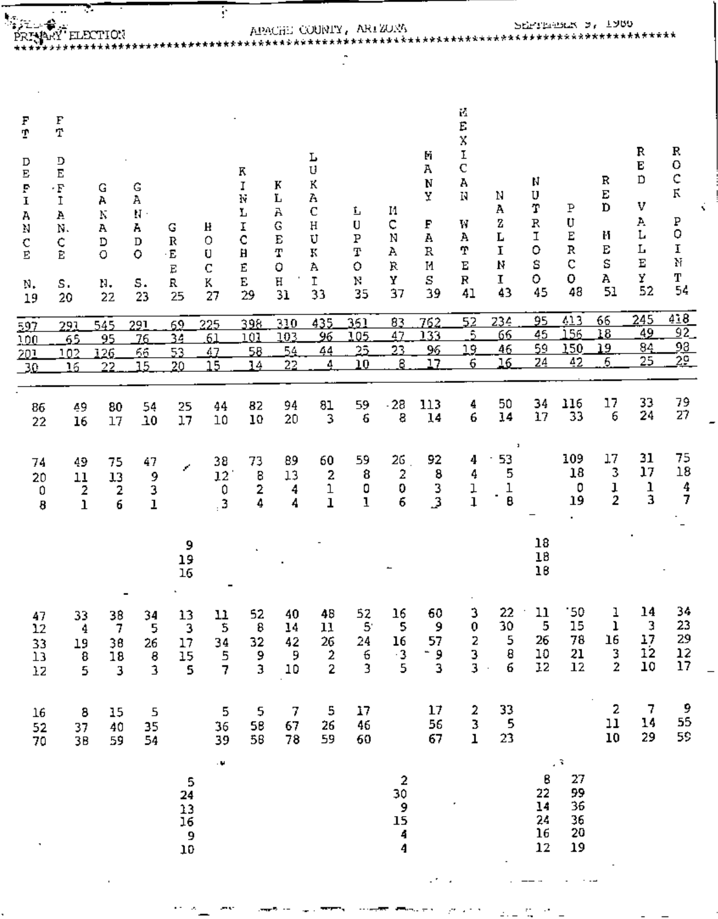| $\cdot$ .<br>€                                                                  |                                        |                                                                                                         |                                                                                                                                 | F                                                                              |                                                                                                                             |                                                  |                                                                      |                                                        |                                                             |                                                 |                                                                                     |                                       |                                             |                                              |                                       |                                                           |                                                       |     |
|---------------------------------------------------------------------------------|----------------------------------------|---------------------------------------------------------------------------------------------------------|---------------------------------------------------------------------------------------------------------------------------------|--------------------------------------------------------------------------------|-----------------------------------------------------------------------------------------------------------------------------|--------------------------------------------------|----------------------------------------------------------------------|--------------------------------------------------------|-------------------------------------------------------------|-------------------------------------------------|-------------------------------------------------------------------------------------|---------------------------------------|---------------------------------------------|----------------------------------------------|---------------------------------------|-----------------------------------------------------------|-------------------------------------------------------|-----|
| F<br>$\bar{\rm T}$<br>D<br>Е<br>$\cdot$ F<br>I<br>A<br>N.<br>¢<br>Ē<br>S.<br>20 | G<br>А<br>N<br>А<br>D<br>O<br>n.<br>22 | G<br>Α<br>$\mathbf{H}$ .<br>А<br>D<br>o<br>S.<br>23                                                     | G<br>$\mathbb R$<br>$\cdot$ E<br>E<br>R<br>25                                                                                   | H<br>0<br>U<br>$\mathbf C$<br>K<br>27                                          | Κ<br>I<br>N<br>r<br>Ι<br>C<br>Н<br>E<br>E<br>29                                                                             | К<br>Ľ<br>Α<br>G<br>E<br>Т<br>0<br>$\rm H$<br>31 | L<br>U<br>К<br>А<br>$\mathbf C$<br>$\rm H$<br>U<br>K<br>A<br>I<br>33 | 玉<br>U<br>Ρ<br>T<br>0<br>N<br>35                       | 11<br>c<br>N<br>А<br>Ŕ<br>Υ<br>37                           | M<br>А<br>N<br>Y<br>F<br>А<br>R<br>M<br>S<br>39 | ř.<br>E<br>χ<br>I<br>$\mathbf C$<br>А<br>N<br>W<br>А<br>T<br>Е<br>$\mathbf R$<br>41 | Ν<br>А<br>2<br>Г<br>1<br>И<br>I<br>43 | N<br>U<br>T<br>R<br>I<br>o<br>s<br>0.<br>45 | Ρ<br>U<br>Ε<br>$\, {\bf R}$<br>¢<br>0.<br>48 | R<br>E<br>D<br>M<br>E<br>Ś<br>А<br>51 | R<br>E<br>D<br>v<br>A<br>L<br>Г<br>$\mathbf E$<br>Y<br>52 | R<br>0<br>¢<br>$\rm K$<br>Ρ<br>Q<br>I<br>N<br>Т<br>54 | x   |
| 291<br>65<br>102<br>16                                                          | 545<br>95<br>126.<br>22                | <u> 291</u><br>76<br>65<br>15                                                                           | 52<br>34<br>53<br>20                                                                                                            | 225<br>61<br>47<br>15                                                          | 398<br>101<br>58<br>14                                                                                                      | 310<br>103<br>54<br>22                           | 435<br>96<br>44<br>4                                                 | 361<br>105<br>25<br>10                                 | 83<br>47<br>23<br>8                                         | 762<br>133<br>96<br>17                          | 52<br>-5.<br>19.<br>6                                                               | 234<br>66<br>46<br>16                 | 45<br>59<br>24                              | 56<br>150<br>42                              | 18<br>19<br>6.                        | 49<br><u>84</u><br>25                                     | 92<br><u>98.</u><br>$^{29}$                           |     |
| 49<br>86<br>16<br>22                                                            | 80<br>17                               | 54<br>$\overline{10}$                                                                                   | 25<br>17                                                                                                                        | 44<br>10                                                                       | 82<br>10                                                                                                                    | 94<br>20                                         | 81<br>3                                                              | 59<br>6                                                | $-28$<br>8                                                  | 113<br>14                                       | 4<br>6                                                                              | 50<br>14                              | 34<br>17                                    | 116<br>33                                    | 17<br>6                               | 33<br>24                                                  | 79<br>27                                              |     |
| 20<br>0<br>ı<br>8                                                               | 75<br>13<br>2<br>6                     | 47<br>9<br>3<br>ı                                                                                       | x                                                                                                                               | 38<br>0<br>$\overline{\mathbf{3}}$                                             | 73<br>8<br>2<br>4                                                                                                           | 89<br>13<br>4<br>4                               | 60<br>2<br>1<br>ı                                                    | 59<br>8<br>0<br>ı                                      | 26<br>2<br>0<br>б                                           | 92<br>8<br>3<br>3                               | 4<br>4<br>ļ<br>$\mathbf{1}$                                                         | J,<br>53<br>5<br>1<br>٠<br>₿          |                                             | 109<br>18<br>0<br>19                         | 17<br>3<br>ı<br>$\overline{2}$        | 31<br>17<br>ı<br>3                                        | 75<br>18<br>4<br>7                                    |     |
|                                                                                 |                                        |                                                                                                         | 9<br>19<br>16                                                                                                                   |                                                                                |                                                                                                                             |                                                  |                                                                      |                                                        |                                                             |                                                 |                                                                                     |                                       | 18<br>18<br>18                              |                                              |                                       |                                                           |                                                       |     |
| $\frac{47}{12}$<br>$\frac{1}{33}$<br>$\frac{13}{12}$                            |                                        |                                                                                                         |                                                                                                                                 | 11<br>$\overline{\mathbf{5}}$<br>$\begin{array}{c}\n34 \\ 5 \\ 7\n\end{array}$ | 52<br>8<br>32<br>9<br>3                                                                                                     | 40<br>14<br>42<br>$\frac{1}{10}$                 | 48<br>11<br>$\begin{array}{c} 26 \\ 2 \\ 2 \end{array}$              | 52<br>5<br>$\begin{array}{c} 24 \\ 6 \\ 3 \end{array}$ | $\frac{16}{5}$<br>$\frac{16}{3}$<br>5                       | 60<br>و<br>57<br>3                              | $\begin{array}{c} 3 \\ 0 \\ 2 \\ 3 \\ \end{array}$                                  | 22<br>$\frac{30}{30}$<br>6<br>6       | 11<br>5<br>26<br>$\frac{10}{12}$            | '50<br>15<br>78<br>21<br>12                  | $\frac{1}{1}$<br>16<br>$\frac{3}{2}$  | 14<br>$\frac{3}{17}$<br>$\frac{17}{12}$<br>$10$           | 34<br>23<br>29<br>12<br>17                            |     |
| 16<br>52<br>70                                                                  |                                        |                                                                                                         |                                                                                                                                 | 5<br>36<br>39                                                                  | $\frac{5}{58}$<br>58                                                                                                        | $\overline{7}$<br>67<br>78                       | $\frac{5}{26}$<br>59                                                 | 17<br>$\bf 46$<br>60                                   |                                                             | $17 \,$<br>56<br>67                             | $\frac{2}{3}$                                                                       | 33<br>5<br>23                         |                                             |                                              | 2<br>11<br>10                         | 7<br>14<br>29                                             | 9<br>55<br>59                                         |     |
|                                                                                 |                                        |                                                                                                         |                                                                                                                                 | $\bar{\phantom{a}}$                                                            |                                                                                                                             |                                                  |                                                                      |                                                        | $\begin{array}{c} 2 \\ 30 \\ 9 \\ 15 \\ 4 \\ 4 \end{array}$ |                                                 |                                                                                     |                                       | $\frac{8}{22}$<br>14<br>24<br>16<br>12      | 27<br>99<br>36<br>36<br>20<br>19             |                                       |                                                           |                                                       |     |
|                                                                                 |                                        | ÷.<br>49<br>11<br>2<br>$\frac{33}{4}$<br>$\begin{array}{c}\n19 \\ 8 \\ 5\n\end{array}$<br>8<br>37<br>3B | .<br>T∳AKI ELECTION<br>$\begin{array}{c} 38 \\ 7 \end{array}$<br>$\begin{array}{c} 38 \\ 18 \\ 3 \end{array}$<br>15<br>40<br>59 | $34$ 5<br>$26$ 8<br>3<br>5<br>35<br>54                                         | $\begin{array}{c} 13 \\ 3 \\ 17 \\ 15 \\ 5 \\ \end{array}$<br>$\begin{array}{c} 5 \\ 24 \\ 13 \\ 16 \\ 9 \\ 10 \end{array}$ | $12^{\degree}$                                   |                                                                      |                                                        |                                                             | APACHE COUNTY, ARIZONA                          |                                                                                     |                                       |                                             | 95                                           | 413<br>, s                            | 66                                                        | SEPTEMBER 2, 1980<br>245                              | 418 |

 $\mathcal{C}_{\mathcal{C}}$ 

Ŧ

 $\sigma\sigma$  $212.57 + 12$  $\overline{\phantom{a}}$  $\cdots$  $\overline{a}$  , and  $\overline{a}$  , and  $\overline{a}$ **Service** S  $\overline{\phantom{a}}$ 

 $\phi_{\rm c}$  is

 $-$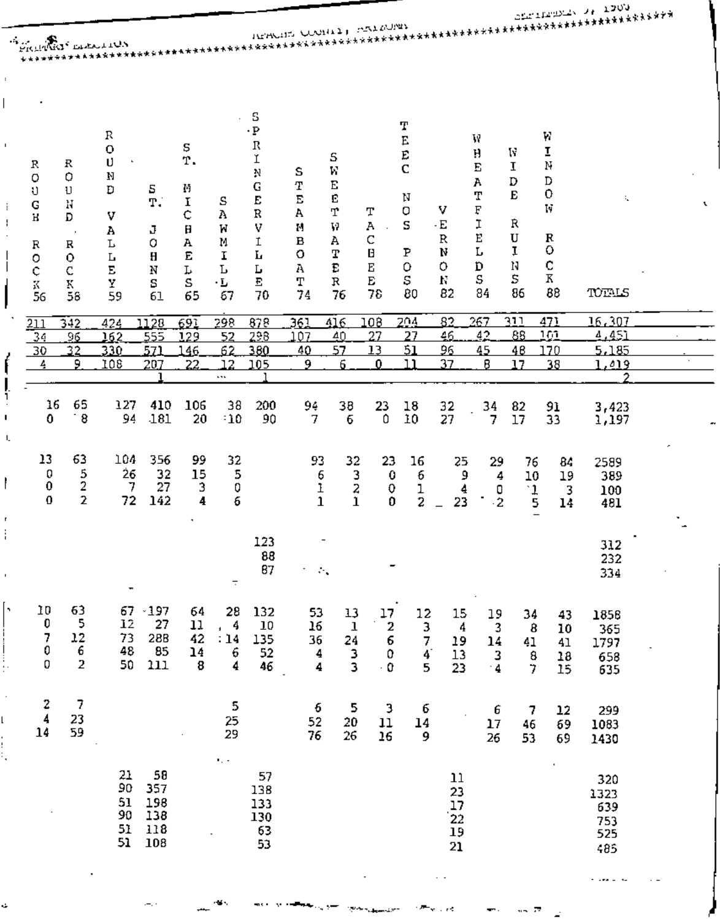|                                                         |                                                                      | <b>A MARIA DEALLON</b>                                              |                                              |                                                       |                                           |                                                                                       |                                                                                |                                                                          |                                                               |                                                            |                                                    |                                                           |                                                 |                                                      |                                               |  |
|---------------------------------------------------------|----------------------------------------------------------------------|---------------------------------------------------------------------|----------------------------------------------|-------------------------------------------------------|-------------------------------------------|---------------------------------------------------------------------------------------|--------------------------------------------------------------------------------|--------------------------------------------------------------------------|---------------------------------------------------------------|------------------------------------------------------------|----------------------------------------------------|-----------------------------------------------------------|-------------------------------------------------|------------------------------------------------------|-----------------------------------------------|--|
| R<br>O<br>υ<br>${\bf G}$<br>н<br>R<br>o<br>¢<br>K<br>56 | $_{\rm R}$<br>$\circ$<br>U<br>Ν<br>D<br>R<br>$\circ$<br>C<br>K<br>58 | R<br>$\mathbf 0$<br>U<br>N<br>D<br>v<br>А<br>L<br>L<br>E<br>Y<br>59 | 5<br>T.<br>J<br>0<br>$\bf H$<br>N<br>s<br>61 | s<br>Υ.<br>М<br>I<br>¢<br>Н<br>А<br>E<br>L<br>S<br>65 | s<br>Α<br>И<br>М<br>I<br>Ъ<br>٠L<br>67    | S<br>$\cdot$ P<br>$\mathbb R$<br>Ĭ<br>Ņ<br>G<br>E<br>R<br>٧<br>I<br>г<br>Г<br>E<br>70 | s<br>T<br>$\overline{\text{E}}$<br>A<br>М<br>$\, {\bf B}$<br>O<br>A<br>Т<br>74 | S<br>W<br>$\mathbf E$<br>Ē<br>T<br>V<br>А<br>Т<br>E<br>$\mathbf R$<br>76 | Τ<br>А<br>C<br>Β<br>E<br>E<br>78                              | Т<br>E<br>E<br>C<br>N<br>O<br>S<br>P<br>$\circ$<br>S<br>80 | v<br>$\cdot$ E<br>$\mathbb R$<br>N<br>0<br>N<br>82 | W<br>H<br>Е<br>A<br>Т<br>F<br>I<br>E<br>L<br>D<br>S<br>84 | W<br>I<br>D<br>E<br>Ŕ<br>U<br>I<br>N<br>s<br>86 | W<br>I<br>N<br>D<br>0<br>W<br>R<br>o<br>c<br>К<br>88 | t,<br>TOTALS                                  |  |
| $\overline{211}$<br>34<br>30<br>4                       | 342<br>96<br>32<br>9.                                                | 424<br>162<br>330.<br>108                                           | 1128<br>555<br>571<br>207                    | 691<br>129<br>146<br>22                               | 298<br>52<br>62<br>12<br>$\cdots$         | 878<br>298<br>380<br>105                                                              | 361<br>107<br>40<br>9                                                          | 416<br>40<br>57<br>6                                                     | 108<br>27<br>13<br>$\mathbf{0}$                               | 204<br>27<br>51<br>11                                      | 82<br>46<br>96<br>37                               | 267<br>42<br>45<br>8                                      | וור<br>88<br>48<br>17                           | 471<br>101<br>170<br>38                              | 16,307<br><u>4,451</u><br>5,185<br>1,419<br>2 |  |
| 16<br>0                                                 | 65<br>8                                                              | 127<br>94                                                           | 410<br>181                                   | 106<br>20                                             | 38<br>$-10$                               | 200<br>90                                                                             | 94<br>7                                                                        | 38<br>6                                                                  | 23<br>0                                                       | 18<br>10                                                   | 32<br>27                                           | 34<br>7                                                   | 82<br>17                                        | 91<br>33                                             | 3,423<br>1,197                                |  |
| 13<br>0<br>$\pmb{0}$<br>0                               | 63<br>5<br>2<br>$\overline{2}$                                       | 104<br>26<br>7<br>72                                                | 356<br>32<br>27<br>142                       | 99<br>15<br>3<br>4                                    | 32<br>5<br>Q<br>6                         |                                                                                       | 93<br>6<br>ı<br>$\mathbf{1}$                                                   | 32<br>3<br>2<br>1                                                        | 23<br>$\bf{0}$<br>0<br>0                                      | 16<br>6<br>ı<br>2                                          | 25<br>9<br>4<br>23                                 | 29<br>4<br>о<br>$\overline{c}$                            | 76<br>10<br>$\frac{1}{5}$                       | 84<br>19<br>3<br>14                                  | 2589<br>389<br>100<br>481                     |  |
|                                                         |                                                                      | ۰                                                                   |                                              |                                                       | $\overline{\phantom{a}}$                  | 123<br>88<br>87                                                                       | $\overline{\phantom{a}}$<br>$\mathcal{H}_\bullet$                              |                                                                          |                                                               |                                                            |                                                    |                                                           |                                                 |                                                      | 312<br>232<br>334                             |  |
| 10<br>$\begin{bmatrix} 0 \\ 7 \\ 0 \\ 0 \end{bmatrix}$  | 63<br>5<br>$\begin{array}{c} 12 \\ 6 \\ 2 \end{array}$               | 67.<br>12<br>73<br>48<br>50                                         | $+197$<br>27<br><b>28B</b><br>85<br>$111$    | 64<br>11<br>42<br>14<br>8                             | 28<br>4<br>$\mathbf{r}$<br>: 14<br>6<br>4 | 132<br>10<br>$\begin{array}{c} 135 \\ 52 \end{array}$<br>46                           | 53<br>16<br>36<br>4<br>4                                                       | 13<br>$\mathbf 1$<br>$\begin{array}{c}\n24 \\ 3 \\ 3\n\end{array}$       | 17<br>$\begin{array}{c} 2 \\ 6 \\ 0 \end{array}$<br>$\cdot$ 0 | $\frac{12}{3}$<br>$\frac{7}{4}$<br>5                       | 15<br>4<br>19<br>13<br>23                          | 19<br>$\frac{3}{14}$<br>$\frac{3}{4}$                     | 34<br>8<br>41<br>8<br>$\overline{7}$            | 43<br>10<br>41<br>18<br>15                           | 1858<br>365<br>1797<br>658<br>635             |  |
| $\begin{array}{c}2\\4\\14\end{array}$                   | 7<br>23<br>59                                                        |                                                                     |                                              |                                                       | 5<br>25<br>29                             |                                                                                       | 6<br>52<br>76                                                                  | 5<br>$\frac{20}{26}$                                                     | 3<br>$11\,$<br>16                                             | б<br>14<br>9                                               | $\ddot{\phantom{0}}$                               | 6<br>$\frac{17}{26}$                                      | 7<br>46<br>53                                   | 12<br>69<br>69                                       | 299<br>1083<br>1430                           |  |
|                                                         |                                                                      | 21<br>90<br>51<br>90<br>51<br>51                                    | 58<br>357<br>198<br>138<br>$118\,$<br>108    |                                                       | $\epsilon_{\rm{c}}$ .                     | 57<br>138<br>133<br>130<br>63<br>53                                                   |                                                                                |                                                                          |                                                               |                                                            | 11<br>23<br>17<br>22<br>19<br>${\bf 21}$           |                                                           |                                                 |                                                      | 320<br>1323<br>639<br>753<br>525<br>485       |  |
|                                                         |                                                                      |                                                                     |                                              |                                                       |                                           |                                                                                       |                                                                                |                                                                          |                                                               |                                                            | $\sim$ $\sim$                                      |                                                           |                                                 |                                                      | . .ea - n                                     |  |

нg .

ms k  $\mathbf{v}$ 

السواريا المست

 $\mathcal{R}^{p,q_1,q_2}$  is

وأحرف

 $\mathcal{F}^{\text{max}}$ 

 $\sim 0.5$ 

44. P

 $\leftarrow$  .

 $\overline{\phantom{a}}$ 

 $\mathbf{r}$ ł.

l

۱,

¢,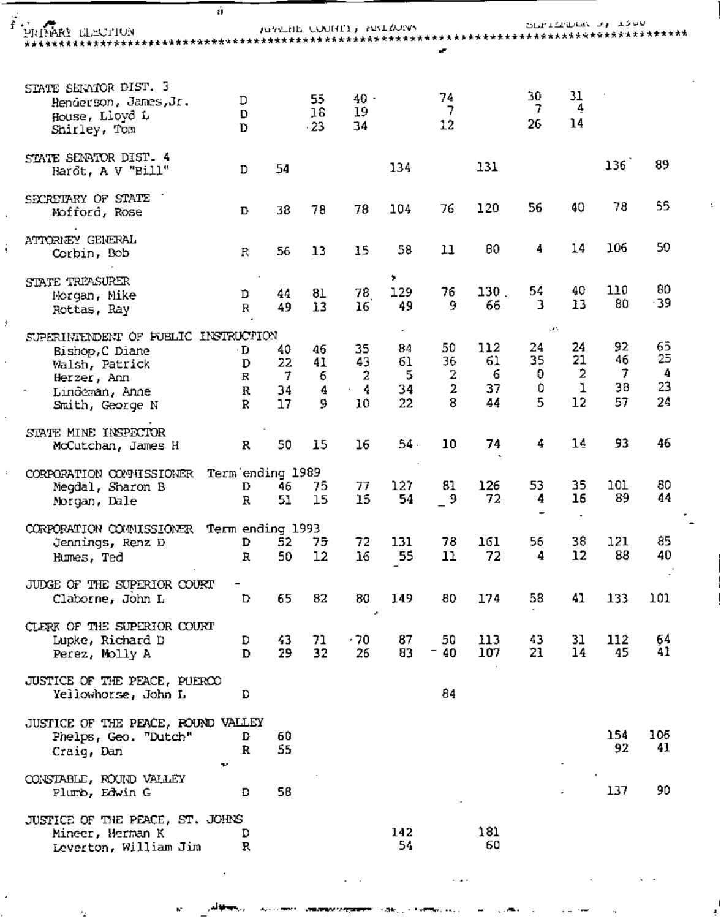| á.                                                                               |                       |                              |                 |                         |                |               |               |                                |               | فافاختص واب المقابلة فاقتلاه |               |
|----------------------------------------------------------------------------------|-----------------------|------------------------------|-----------------|-------------------------|----------------|---------------|---------------|--------------------------------|---------------|------------------------------|---------------|
| PRIMERY ELECTION                                                                 |                       |                              |                 | NEWLITE COURTY, EXTREME |                |               |               |                                |               |                              |               |
|                                                                                  |                       |                              |                 |                         |                |               |               |                                |               |                              |               |
| STATE SERVIOR DIST. 3<br>Henderson, James, Jr.<br>House, Lloyd L<br>Shirley, Tom | D<br>D<br>D           |                              | 55<br>16<br>.23 | $40 -$<br>19<br>34      |                | 74<br>7<br>12 |               | 30<br>7<br>26                  | 31<br>4<br>14 |                              |               |
| STATE SENATOR DIST. 4<br>Hardt, A V "Bill"                                       | D                     | 54                           |                 |                         | 134            |               | 131           |                                |               | 136                          | 89            |
| SECRETARY OF STATE<br>Mofford, Rose                                              | D                     | 38                           | 78              | 78                      | 104            | 76            | 120           | 56                             | 40            | 78                           | 55            |
| ATTORNEY GENERAL<br>Corbin, Bob                                                  | R                     | 56                           | 13              | 15                      | 58             | 11            | 80            | 4                              | 14            | 106                          | 50            |
| STATE TREASURER<br>Morgan, Mike<br>Rottas, Ray                                   | D<br>$\mathbb R$      | 44<br>49                     | 81<br>13        | 78<br>16 <sup>2</sup>   | ,<br>129<br>49 | 76<br>9       | 130.<br>66    | 54<br>з                        | 40<br>13      | 110<br>80                    | 80<br>$-39$   |
| SUPERINTENDENT OF FUELIC INSTRUCTION<br>Bishop, C Diane                          | $\cdot$ D             | 40                           | 46              | 35                      | 84             | 50            | 112           | ur t<br>24                     | 24<br>21      | 92<br>46                     | 65<br>25      |
| Walsh, Patrick<br>Herzer, Ann<br>Lindeman, Anne                                  | D<br>$\mathbb R$<br>R | 22<br>7<br>34                | 41<br>6<br>4    | 43<br>2<br>4            | 61<br>5<br>34  | 36<br>2<br>2  | 61<br>6<br>37 | 35<br>0<br>0<br>$\overline{5}$ | 2<br>1<br>12  | $\overline{7}$<br>38         | 4<br>23<br>24 |
| Smith, George N<br>STATE MINE INSPECTOR                                          | R                     | 17                           | 9               | 10                      | 22             | 8             | 44            | 4                              | 14            | 57<br>93                     | 46            |
| McCutchan, James H                                                               | R                     | 50                           | 15              | 16                      | $54 -$         | 10            | 74            |                                |               |                              |               |
| CORPORATION CONNISSIONER<br>Megdal, Sharon B<br>Morgan, Dale                     | D<br>R                | Term ending 1989<br>46<br>51 | 75<br>15        | 77<br>15                | 127<br>54      | 81<br>9       | 126<br>72     | 53<br>4                        | 35<br>16      | 101<br>89                    | 80<br>44      |
| CORPORATION COMMISSIONER<br>Jennings, Renz D                                     | D                     | Term ending 1993<br>52       | 75              | 72                      | 131            | 78            | 161           | 56                             | 38            | 121                          | 85            |
| Humes, Ted                                                                       | R                     | 50                           | 12              | 16                      | 55             | 11            | 72            | 4                              | 12            | 88                           | 40            |
| JUDGE OF THE SUPERIOR COURT<br>Claborne, John L                                  | D                     | 65                           | 82              | 80<br>×                 | 149            | 80            | 174           | 58                             | 41            | 133                          | 101           |
| CLERK OF THE SUPERIOR COURT<br>Lupke, Richard D<br>Perez, Molly A                | D<br>D                | 43<br>29                     | 71<br>32        | $-70$<br>26             | 87<br>83       | 50<br>$-40$   | 113<br>107    | 43<br>21                       | 31<br>14      | 112<br>45                    | 64<br>41      |
| JUSTICE OF THE PEACE, PUERCO<br>Yellowhorse, John L                              | D                     |                              |                 |                         |                | 84            |               |                                |               |                              |               |
| JUSTICE OF THE PEACE, ROUND VALLEY<br>Phelps, Geo. "Dutch"<br>Craig, Dan<br>÷.   | D<br>R                | 60<br>55                     |                 |                         |                |               |               |                                |               | 154<br>92                    | 106<br>41     |
| CONSTABLE, ROUND VALLEY<br>Plumb, Edwin G                                        | Đ                     | 58                           |                 |                         |                |               |               |                                |               | 137                          | 90            |
| JUSTICE OF THE PEACE, ST. JOHNS<br>Mineer, Herman K<br>Leverton, William Jim     | D<br>R                |                              |                 |                         | 142<br>54      |               | 181<br>60     |                                |               |                              |               |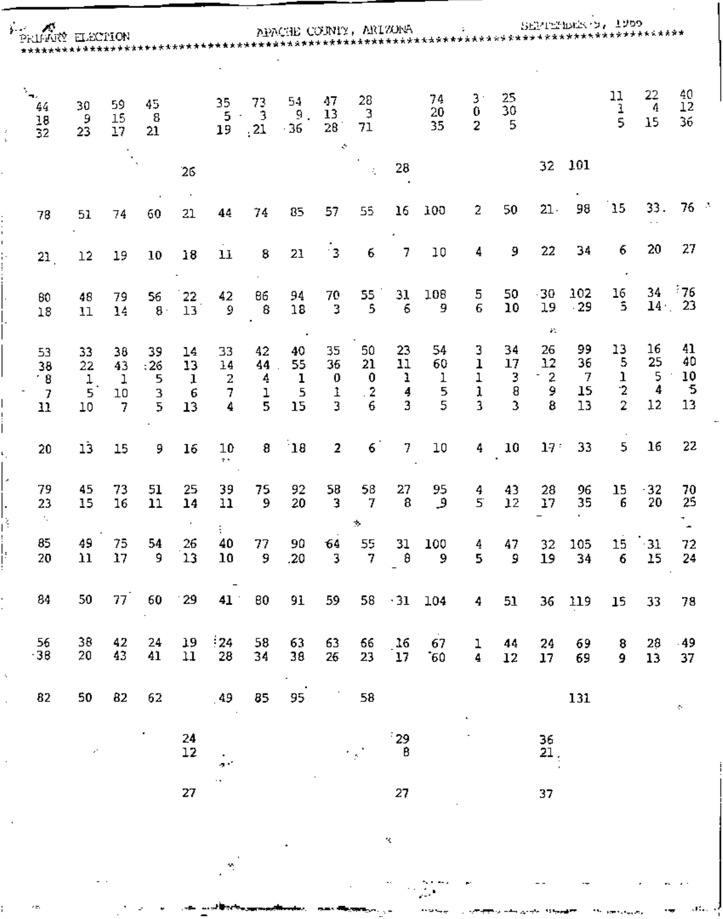| ∳-er | ×<br>PRINKY ELECTION                                               |                          |                          |                          |                                     |                         |                                    | APACHE COUNTY, ARIZONA   |                               |                                 |                           |                         |                           |                         |                            | SEPTEMBER 1, 1900          |                                           |                          |                           |  |
|------|--------------------------------------------------------------------|--------------------------|--------------------------|--------------------------|-------------------------------------|-------------------------|------------------------------------|--------------------------|-------------------------------|---------------------------------|---------------------------|-------------------------|---------------------------|-------------------------|----------------------------|----------------------------|-------------------------------------------|--------------------------|---------------------------|--|
|      | $\Sigma_{\rm{m}}$<br>44<br>$\begin{array}{c} 18 \\ 32 \end{array}$ | 30<br>9<br>23            | 59<br>15<br>17           | 45<br>8<br>21            |                                     | 35<br>5<br>19           | 73<br>$\overline{3}$<br>$\cdot$ 21 | 54<br>ġ.<br>$-36$        | 47<br>13<br>28<br>÷           | 28<br>3<br>71                   |                           | 74<br>20<br>35          | 3.<br>0<br>$\overline{c}$ | 25<br>30<br>5           |                            |                            | 11<br>1<br>5                              | 22<br>4<br>15            | 40<br>12<br>36            |  |
|      |                                                                    |                          |                          |                          | 26                                  |                         |                                    |                          |                               | ÷.                              | 28                        |                         |                           |                         | 32                         | 101                        |                                           |                          |                           |  |
|      | 78                                                                 | 51                       | 74                       | 60                       | 21                                  | 44                      | 74                                 | 85                       | 57                            | 55                              | 16                        | 100                     | 2                         | 50                      | $21 -$                     | 98                         | 15                                        | 33.                      | 76                        |  |
|      | 21                                                                 | 12                       | 19                       | 10                       | 18                                  | 11                      | 8                                  | 21                       | 13                            | 6                               | 7                         | 10                      | 4                         | 9.                      | 22                         | 34                         | 6                                         | 20                       | 27                        |  |
|      | 80<br>18                                                           | 48<br>11                 | 79<br>14                 | 56<br>$8 \cdot$          | 22<br>13                            | 42<br>9                 | 86<br>8                            | 94<br>18                 | 70<br>3                       | 55<br>5                         | 31<br>6                   | 108<br>9                | 5<br>6                    | 50<br>10                | 30<br>19<br>æ.             | 102<br>$-29$               | 16<br>5                                   | 34<br>14 <sub>1</sub>    | $-76$<br>-23              |  |
|      | 53<br>38<br>18<br>7<br>11                                          | 33<br>22<br>ı<br>5<br>10 | 38<br>43<br>1<br>10<br>7 | 39<br>:26<br>5<br>3<br>5 | 14<br>13<br>$\mathbf{I}$<br>6<br>13 | 33<br>14<br>2<br>7<br>4 | 42<br>44.<br>4<br>ı<br>5           | 40<br>55<br>ı<br>5<br>15 | 35<br>36<br>0<br>1<br>3       | 50<br>21<br>0<br>$\cdot$ 2<br>6 | 23<br>11<br>ı<br>4<br>3   | 54<br>60<br>1<br>5<br>5 | 3<br>ı<br>1<br>ĩ<br>3     | 34<br>17<br>3<br>8<br>3 | 26<br>12<br>$-2$<br>9<br>8 | 99<br>36<br>-7<br>15<br>13 | 13<br>5<br>ı<br>$\cdot$<br>$\overline{2}$ | 16<br>25<br>5<br>4<br>12 | 41<br>40<br>10<br>5<br>13 |  |
|      | 20                                                                 | lĴ                       | 15                       | 9                        | 16                                  | 10<br>7.5               | 8                                  | $\mathbf{18}$            | 2                             | 6                               | 7                         | 10                      | 4                         | 10                      | 17 <sup>°</sup>            | 33                         | 5                                         | 16                       | 22                        |  |
|      | 79<br>23                                                           | 45<br>15                 | 73<br>16                 | 51<br>11                 | 25<br>14                            | 39<br>11                | 75<br>9                            | 92<br>20                 | 58<br>3                       | 58<br>7<br>÷.                   | 27<br>8                   | 95<br>و                 | 4<br>5                    | 43<br>12                | 28<br>17                   | 96<br>35                   | 15<br>6                                   | $-32$<br>20              | 70<br>25                  |  |
|      | 85<br>$20\,$                                                       | 49<br>$\mathbf{11}$      | 75<br>17                 | 54<br>9                  | 26<br>ับ3                           | 40<br>10                | 77<br>- 9                          | 90<br>.20                | 64<br>$\overline{\mathbf{3}}$ | 55<br>$\overline{7}$            | $31\,$<br>₿               | 100<br>9                | 4<br>5                    | 47<br>9                 | 32<br>19                   | 105<br>34                  | 15<br>6                                   | $-31$<br>15              | 72<br>24                  |  |
|      | 84                                                                 | 50                       | 77`                      | 60                       | $^{\circ}29$                        | 41                      | 80                                 | 91                       | 59                            |                                 | $58 \tcdot 31 \tcdot 104$ |                         | 4                         | 51                      |                            | 36 119                     | 15                                        | 33                       | 78                        |  |
|      | 56<br>$-38$                                                        | 38<br>20                 | 42<br>43                 | 24<br>41                 | 19<br>11                            | $\frac{1}{2}$<br>28     | 58<br>34                           | 63<br>38                 | 63<br>26                      | 66<br>23                        | 16<br>17                  | 67<br>$-60$             | ı<br>4                    | 44<br>12                | 24<br>17 <sub>17</sub>     | 69<br>69                   | 8<br>9                                    | 28<br>13                 | $-49$<br>37               |  |
|      | 82                                                                 | 50                       | 82                       | 62                       |                                     | .49                     | 85                                 | 95                       | $\mathcal{I}_\mathrm{c}$      | 58                              |                           |                         |                           |                         |                            | 131                        |                                           |                          | $\sigma_{\rm c}$          |  |
|      |                                                                    | $\mathcal{E}^{\star}$    |                          | ٠                        | 24<br>$12\,$                        | $\sim$<br>a C           |                                    |                          |                               | r y N                           | $\frac{1}{3}$ 29          |                         |                           |                         | 36<br>21,                  |                            |                                           |                          |                           |  |
|      |                                                                    |                          |                          |                          | 27                                  | $\cdot$ ,               |                                    |                          |                               |                                 | 27                        |                         |                           |                         | 37                         |                            |                                           |                          |                           |  |

 $\mathcal{R}_\mathrm{c}$ 

i i m

 $\label{eq:2.1} \mathcal{L}_{\mathcal{A}}(x,y) = \mathcal{L}_{\mathcal{A}}(x,y) \sum_{i=1}^n \frac{1}{2\pi i} \sum_{j=1}^n \frac{1}{2\pi i} \sum_{j=1}^n \frac{1}{2\pi i} \sum_{j=1}^n \frac{1}{2\pi i} \sum_{j=1}^n \frac{1}{2\pi i} \sum_{j=1}^n \frac{1}{2\pi i} \sum_{j=1}^n \frac{1}{2\pi i} \sum_{j=1}^n \frac{1}{2\pi i} \sum_{j=1}^n \frac{1}{2\pi i} \sum_{j=1}$ 

المحافظ من المحافظ المحافظ المراريخ<br>المحافظ

 $\sim 10^{11}$  are solving as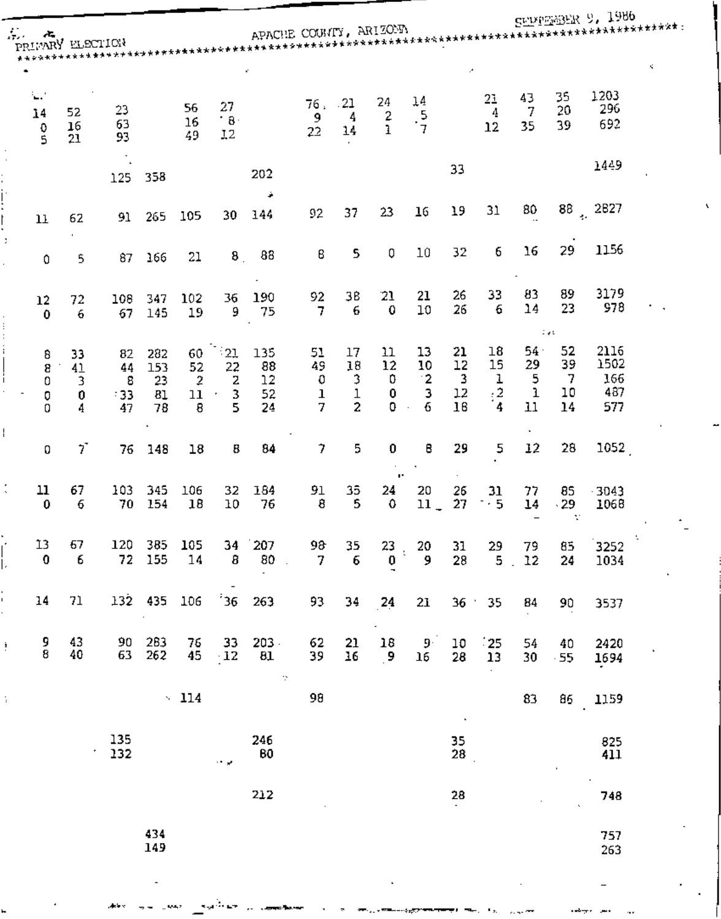|    |                           |                         |                             |                              |                                       |                               |                             |                                   |                                                |                         |                                               |                               |                                |                           |                                          | SEPPEER 9, 1986                   |      |
|----|---------------------------|-------------------------|-----------------------------|------------------------------|---------------------------------------|-------------------------------|-----------------------------|-----------------------------------|------------------------------------------------|-------------------------|-----------------------------------------------|-------------------------------|--------------------------------|---------------------------|------------------------------------------|-----------------------------------|------|
|    | Andre<br>PRIMARY ELECTION |                         |                             |                              |                                       |                               |                             |                                   |                                                |                         |                                               |                               |                                |                           |                                          |                                   |      |
|    |                           |                         |                             |                              |                                       |                               | k.                          |                                   |                                                |                         |                                               | А,                            |                                |                           |                                          |                                   | K.   |
|    | ξP,<br>14<br>0<br>ś       | 52<br>16<br>21          | 23<br>63<br>93              |                              | 56<br>16<br>49                        | 27<br>$\cdot$ 8 $\cdot$<br>12 |                             | 76.<br>9<br>22                    | .21<br>4<br>14                                 | 24<br>2<br>ı            | $\begin{array}{c}\n14 \\ 5 \\ 7\n\end{array}$ |                               | 21<br>$\boldsymbol{4}$<br>12   | 43<br>7<br>35             | 35<br>20<br>39                           | 1203<br>296<br>692                |      |
|    |                           |                         | 125                         | 358                          |                                       |                               | 202<br>÷                    |                                   |                                                |                         |                                               | 33                            |                                |                           |                                          | 1449                              |      |
|    | 11                        | 62                      | 91                          | 265                          | 105                                   | 30                            | 144                         | 92                                | 37                                             | 23                      | 16                                            | 19                            | 31                             | 80                        |                                          | $88^{+2827}$                      |      |
|    | 0                         | 5                       | 87                          | 166                          | 21                                    | 8 <sub>1</sub>                | 88                          | 8                                 | 5                                              | 0                       | 10                                            | 32                            | 6                              | 16                        | 29                                       | 1156                              |      |
|    | 12<br>$\pmb{0}$           | 72<br>6                 | 108<br>67                   | 347<br>145                   | 102<br>19                             | 36<br>9                       | 190<br>75                   | 92<br>7                           | ЗB<br>6                                        | 21<br>0                 | 21<br>10                                      | 26<br>26                      | 33<br>6                        | 83<br>14                  | 89<br>23<br>$\mathbb{Z} \neq \mathbb{Z}$ | 3179<br>978                       |      |
|    | 8<br>8<br>0<br>0<br>0     | 33<br>41<br>3<br>0<br>4 | 82<br>44<br>8<br>- 33<br>47 | 282<br>153<br>23<br>81<br>78 | 60<br>52<br>$\overline{2}$<br>11<br>8 | - 21<br>22<br>2<br>3<br>5     | 135<br>88<br>12<br>52<br>24 | 51<br>49<br>0<br>$\mathbf 1$<br>7 | 17<br>18<br>3<br>$\mathbf 1$<br>$\overline{c}$ | 11<br>12<br>0<br>0<br>0 | 13<br>10<br>$^{\circ}2$<br>з<br>6             | 21<br>12<br>3<br>$12\,$<br>16 | 18<br>15<br>ı<br>$\frac{2}{4}$ | 54.<br>29<br>5<br>ı<br>11 | 52<br>39<br>7<br>10<br>14                | 2116<br>1502<br>166<br>487<br>577 |      |
|    | 0                         | 7                       | 76                          | 148                          | 18                                    | 8                             | 84                          | $\overline{\phantom{a}}$          | 5                                              | 0                       | 8                                             | 29                            | 5                              | 12                        | 28                                       | 1052                              |      |
| t  | 11<br>0                   | 67<br>6                 | 103<br>70                   | 345<br>154                   | 106<br>18                             | 32<br>10                      | 184<br>76                   | 91<br>8                           | 35.<br>5                                       | ×.<br>24<br>0           | 20<br>$11 -$                                  | 26<br>27                      | 31<br>$\geq$ 5                 | 77<br>14                  | 85<br>$-29$<br>v                         | $-3043$<br>1068                   |      |
|    | 13<br>$\mathbf 0$         | 67<br>6                 | 120                         | 385<br>72 155                | 105<br>14                             | 34<br>$\overline{\mathbf{8}}$ | 207<br>$80$ .               | 98<br>$\mathcal{I}$               | 35<br>6                                        | 23 <sub>1</sub><br>0    | 20<br>و                                       | 31<br>28                      | 29<br>5 <sub>1</sub>           | 79<br>12                  | 85<br>24                                 | 3252<br>1034                      | - 11 |
|    | 14                        | 71                      |                             | 132 435                      | 106                                   | 36                            | 263                         | 93                                | 34                                             | 24                      | 21                                            |                               | 36 : 35                        | 84                        | 90                                       | 3537                              |      |
| ŧ, | 9<br>8                    | 43<br>40                | 90<br>63                    | 283<br>262                   | 76<br>45                              | 33<br>$\cdot$ 12              | $203 -$<br>81<br>$\gamma$   | 62<br>39                          | $\frac{21}{16}$                                | 18<br>$\cdot$           | $9^{\circ}$<br>16                             | 10<br>28                      | $\frac{25}{13}$                | 54<br>30                  | 40<br>$-55$                              | 2420<br>1694                      |      |
| ÷. |                           |                         |                             |                              | $\sim$ 114                            |                               |                             | 98                                |                                                |                         |                                               | $\blacksquare$                |                                | 83                        | 86                                       | 1159                              |      |
|    |                           |                         | 135<br>۰<br>132             |                              |                                       | ني ب                          | 246<br>80                   |                                   |                                                |                         |                                               | $\frac{35}{28}$               |                                |                           |                                          | 825<br>411                        |      |
|    |                           |                         |                             |                              |                                       |                               | 212                         |                                   |                                                |                         |                                               | 28                            |                                |                           |                                          | 748                               |      |
|    |                           |                         |                             | 434<br>149                   |                                       |                               |                             |                                   |                                                |                         |                                               |                               |                                |                           |                                          | 757<br>263                        |      |
|    |                           |                         |                             | $\overline{\phantom{a}}$     |                                       |                               |                             |                                   |                                                |                         |                                               |                               |                                |                           |                                          |                                   |      |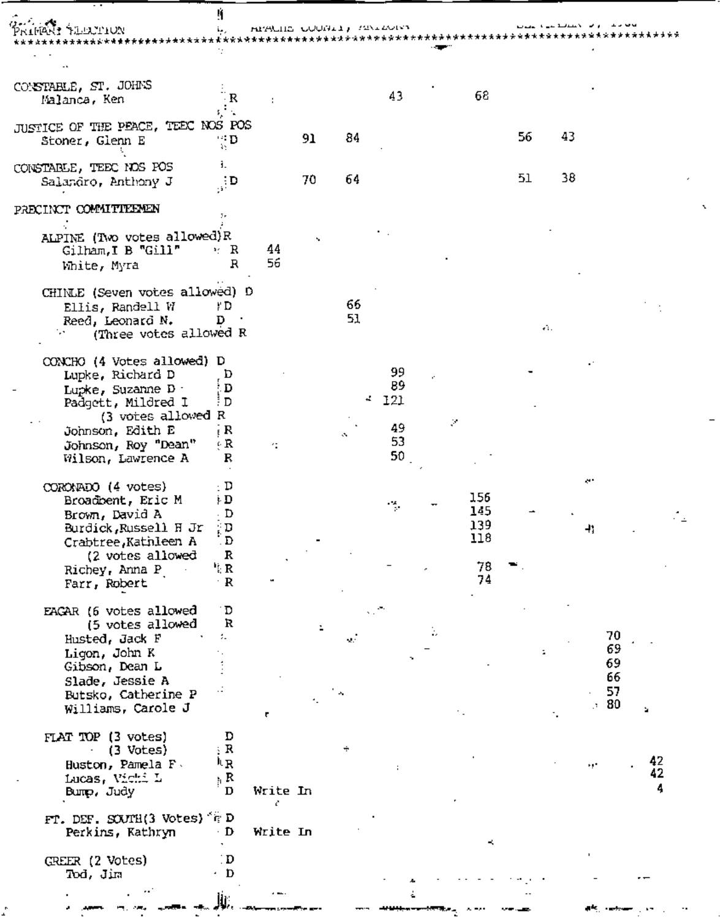Ĥ

| CONSTARLE, ST. JOHNS<br>Malanca, Ken                                                                                                                                            | R                                                   |                |    |          | 43                                |    | 68                                   |     |          |                                   |               |
|---------------------------------------------------------------------------------------------------------------------------------------------------------------------------------|-----------------------------------------------------|----------------|----|----------|-----------------------------------|----|--------------------------------------|-----|----------|-----------------------------------|---------------|
| JUSTICE OF THE PEACE, TEEC NOS POS<br>Stoner, Glenn E                                                                                                                           | ू D                                                 |                | 91 | 84       |                                   |    |                                      | 56  | 43       |                                   |               |
| CONSTABLE, TEEC NOS POS<br>Salandro, Anthony J                                                                                                                                  | i.<br>ुष                                            |                | 70 | 64       |                                   |    |                                      | 51  | 38       |                                   |               |
| PRECINCT COMMITTEENEN                                                                                                                                                           |                                                     |                |    |          |                                   |    |                                      |     |          |                                   |               |
| ALPINE (Two votes allowed)R<br>Gilham, I B "Gill"<br>White, Myra                                                                                                                | * R<br>R                                            | 44<br>56       |    |          |                                   |    |                                      |     |          |                                   |               |
| CHINLE (Seven votes allowed) D<br>Ellis, Randell W<br>Reed, Leonard N.<br>(Three votes allowed R                                                                                | † D<br>D                                            |                |    | 66<br>51 |                                   |    |                                      | τĩ. |          |                                   |               |
| CONCHO (4 Votes allowed) D<br>Lupke, Richard D<br>Lupke, Suzanne D .<br>Padgett, Mildred I<br>(3 votes allowed<br>Johnson, Edith E<br>Johnson, Roy "Dean"<br>Wilson, Lawrence A | D<br>D<br>Đ<br>R<br>R<br>ęВ<br>R                    | ×.             |    | ÷        | 99<br>89<br>121<br>49<br>53<br>50 | Ş. |                                      |     |          |                                   |               |
| CORONADO (4 votes)<br>Broadbent, Eric M<br>Brown, David A<br>Burdick, Russell H Jr<br>Crabtree Kathleen A<br>(2 votes allowed<br>Richey, Anna P<br>Farr, Robert                 | : D<br>). D<br>. D<br>$\Box$<br>D<br>R<br>'' R<br>R |                |    |          | -4                                |    | 156<br>145<br>139<br>118<br>78<br>74 |     | æ.<br>41 |                                   |               |
| EACAR (6 votes allowed<br>(5 votes allowed<br>Husted, Jack F<br>Ligon, John K<br>Gibson, Dean L<br>Slade, Jessie A<br>Butsko, Catherine P<br>Williams, Carole J                 | Ð<br>R                                              | ₹              |    |          |                                   |    |                                      |     |          | 70<br>69<br>69<br>66<br>57<br>.80 |               |
| FLAT TOP (3 votes)<br>$(3 \t{Notes})$<br>Huston, Pamela F.<br>Lucas, Vichi L<br>Bump, Judy                                                                                      | D<br>: R<br>٨R<br>, R<br>$\mathbf D$                | Write In<br>c. |    |          | ÷                                 |    |                                      |     |          |                                   | 42<br>42<br>4 |
| FT. DEF. SOUTH(3 Votes) & D<br>Perkins, Kathryn                                                                                                                                 | $\cdot$ D                                           | Write In       |    |          |                                   |    |                                      |     |          |                                   |               |
| CREER (2 Votes)<br>Tod, Jim                                                                                                                                                     | D<br>٠D                                             |                |    |          |                                   |    |                                      |     |          |                                   |               |
|                                                                                                                                                                                 |                                                     |                |    |          |                                   |    |                                      |     |          |                                   |               |

ليقين الألهر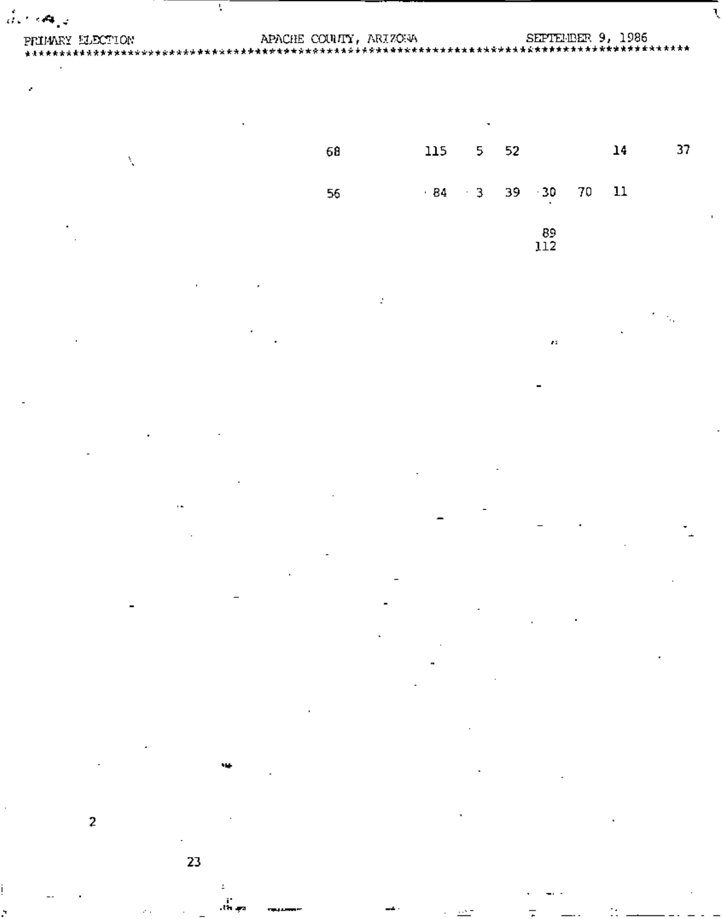| PRIMARY ELECTION |    |     |           |    |                  |    |    |    |
|------------------|----|-----|-----------|----|------------------|----|----|----|
|                  |    |     |           |    |                  |    |    |    |
| ٠                |    |     |           |    |                  |    |    |    |
|                  |    |     |           |    |                  |    |    |    |
|                  |    |     |           |    |                  |    |    |    |
|                  |    |     |           |    |                  |    |    |    |
| Å,               | 68 | 115 | 5.        | 52 |                  |    | 14 | 37 |
|                  |    |     |           |    |                  |    |    |    |
|                  | 56 |     | $-84 - 3$ | 39 | $+30$            | 70 | 11 |    |
|                  |    |     |           |    |                  |    |    |    |
|                  |    |     |           |    |                  |    |    |    |
|                  |    |     |           |    | $\frac{89}{112}$ |    |    |    |
|                  |    |     |           |    |                  |    |    |    |
|                  |    |     |           |    |                  |    |    |    |
|                  | ÷  |     |           |    |                  |    |    |    |
|                  |    |     |           |    |                  |    |    |    |
|                  |    |     |           |    |                  |    |    |    |
|                  |    |     |           |    | $\mathbf{z}$     |    |    |    |
|                  |    |     |           |    |                  |    |    |    |
|                  |    |     |           |    |                  |    |    |    |
|                  |    |     |           |    |                  |    |    |    |
|                  |    |     |           |    |                  |    |    |    |
|                  |    |     |           |    |                  |    |    |    |
|                  |    |     |           |    |                  |    |    |    |
|                  |    |     |           |    |                  |    |    |    |
|                  |    |     |           |    |                  |    |    |    |
| $\sim$           |    |     |           |    |                  |    |    |    |
|                  |    |     |           |    |                  |    |    |    |
|                  |    |     |           |    |                  |    |    |    |
|                  |    |     |           |    |                  |    |    |    |
|                  |    |     |           |    |                  |    |    |    |
|                  |    |     |           |    |                  |    |    |    |
|                  |    |     |           |    |                  |    |    |    |
|                  |    |     |           |    |                  |    |    |    |
|                  |    |     |           |    |                  |    |    |    |
|                  |    |     |           |    |                  |    |    |    |
|                  |    |     |           |    |                  |    |    |    |
|                  |    |     |           |    |                  |    |    |    |
|                  |    |     |           |    |                  |    |    |    |
|                  |    |     |           |    |                  |    |    |    |
| ч.               |    |     |           |    |                  |    |    |    |
|                  |    |     |           |    |                  |    |    |    |
|                  |    |     |           |    |                  |    |    |    |
|                  |    |     |           |    |                  |    |    |    |
| $\overline{2}$   |    |     |           |    |                  |    |    |    |

Ų

23

ż ά.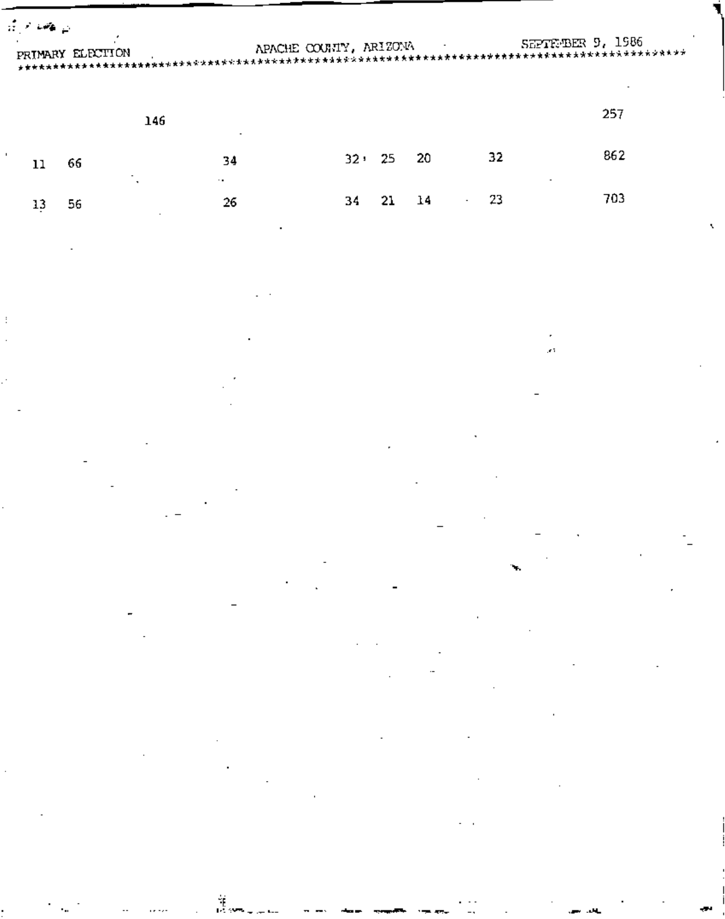| المواجه والمحرافية |    |     |                        |  |       |      |    |                   |  |
|--------------------|----|-----|------------------------|--|-------|------|----|-------------------|--|
| PRIMARY ELECTION   |    |     | APACHE COUNTY, ARIZONA |  |       |      |    | SEPTEMBER 9, 1986 |  |
|                    |    | 146 |                        |  |       |      |    | 257               |  |
|                    | 66 |     | 34                     |  | 32:25 | - 20 | 32 | 862               |  |

34

 $\mathbf{21}$ 

 $\mathbf{14}$ 

 $26\overline{6}$ 

 $13$ 

 $\pm$ 

56

 $\frac{1}{2}$ 

À.

23

 $\mathcal{L}_{\text{max}}$ 

703

k.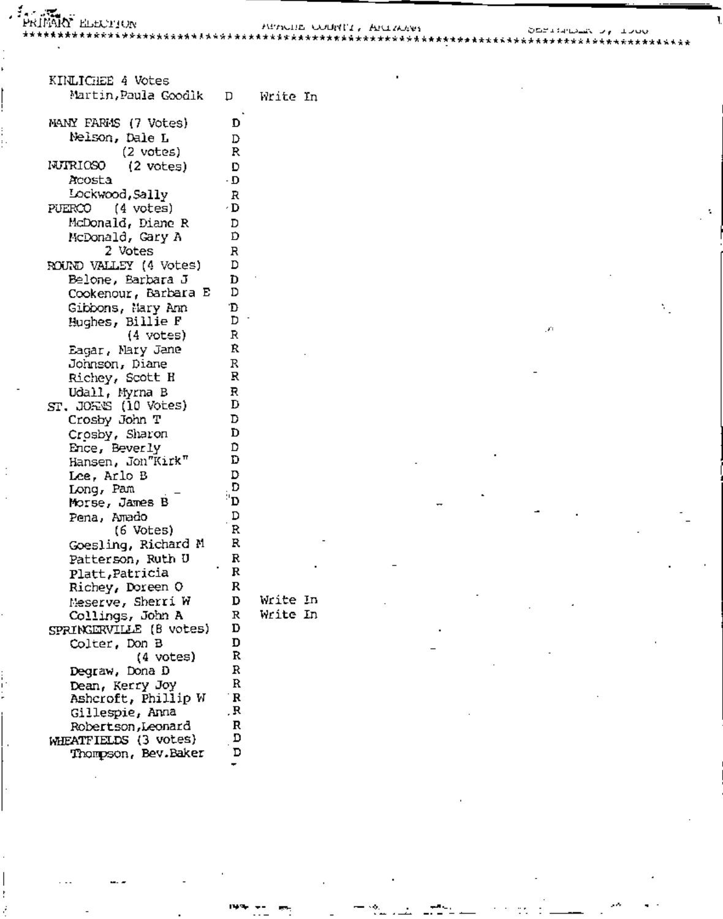ءِ<br>س

{<br>| HEALING DEFINING CONSTIT, ARINARY<br>| HEINGRY ELIZING<br>| https://www.attitle.http://www.attitle.http://www.attitle.http://www.attitle.http://www.attitle.http://www.a

þ.

| KINLICHEE 4 Votes                 |        |            |
|-----------------------------------|--------|------------|
| Martin,Paula Goodik               |        | D Write In |
| MANY FARMS (7 Votes)              | D      |            |
| Nelson, Dale L                    |        |            |
|                                   | D<br>R |            |
| (2 votes)                         |        |            |
| NJTRIOSO<br>$(2 \text{ votes})$   | D      |            |
| Acosta                            | ۰D     |            |
| Lockwood,Sally                    | R      |            |
| PUERCO<br>(4 votes)               | ۰D     |            |
| McDonald, Diane R                 | D      |            |
| McDonald, Gary A                  | Ď      |            |
| 2 Votes                           | R      |            |
| ROUND VALLEY (4 Votes)            | D      |            |
| Belone, Barbara J                 | D.     |            |
| Cookenour, Barbara E              | D      |            |
| Gibbons, Hary Ann                 | D      |            |
| Hughes, Billie F                  | D ·    |            |
| (4 votes)                         | R      |            |
| Eagar, Nary Jane                  | Ŕ      |            |
| Johnson, Diane                    | R      |            |
| Richey, Scott H                   | R      |            |
| Udall, Myrna B                    | R      |            |
| $ST$ , JORNS $(10 \text{ Votes})$ | D      |            |
| Crosby John T                     | D      |            |
| Crosby, Sharon                    | D      |            |
| Ence, Beverly                     | D      |            |
| Hansen, Jon"Kirk"                 | D      |            |
| Lee, Arlo B                       | D      |            |
| Long, Pam                         | D      |            |
| Morse, James B                    | "D     |            |
| Pena, Amado                       | D      |            |
| (6 Votes)                         | R      |            |
| Goesling, Richard M               | R      |            |
| Patterson, Ruth U                 | R      |            |
| Platt, Patricia                   | R      |            |
| Richey, Doreen O                  | R      |            |
| Neserve, Sherri W                 | D      | Write In   |
| Collings, John A                  | R      | Write In   |
| SPRINGERVILLE (B votes)           | D      |            |
| Colter, Don B                     | D      |            |
| (4 votes)                         | R      |            |
| Degraw, Dona D                    | R      |            |
| Dean, Kerry Joy                   | R      |            |
| Ashcroft, Phillip W               | R      |            |
| Gillespie, Anna                   | , R    |            |
| Robertson, Leonard                | R      |            |
| WHEATFIELDS (3 votes)             | D      |            |
| Thompson, Bev.Baker               | D      |            |
|                                   |        |            |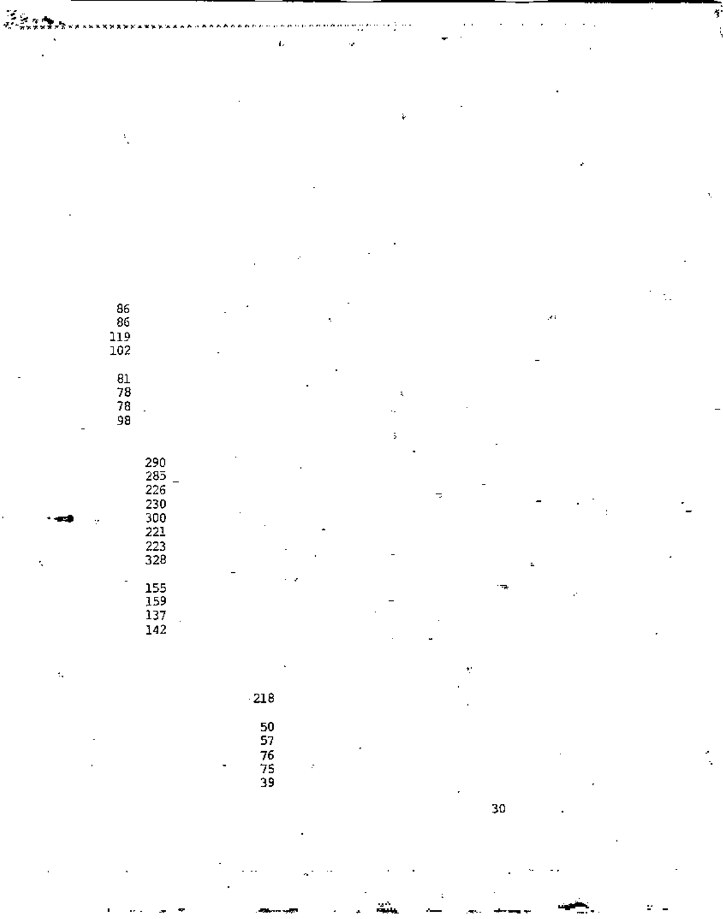| ٠                        |                                                               | $\mathbf{L}$               | ×,                            |                         |                     |  |
|--------------------------|---------------------------------------------------------------|----------------------------|-------------------------------|-------------------------|---------------------|--|
|                          |                                                               |                            |                               |                         |                     |  |
|                          |                                                               |                            |                               |                         |                     |  |
|                          |                                                               |                            |                               |                         |                     |  |
|                          |                                                               |                            | è                             |                         |                     |  |
|                          |                                                               |                            |                               |                         |                     |  |
|                          | ÷.                                                            |                            |                               |                         |                     |  |
|                          |                                                               |                            |                               |                         | ٠                   |  |
|                          |                                                               |                            |                               |                         |                     |  |
|                          |                                                               |                            |                               |                         |                     |  |
|                          |                                                               |                            |                               |                         |                     |  |
|                          |                                                               |                            |                               |                         |                     |  |
|                          |                                                               |                            |                               |                         |                     |  |
|                          |                                                               | ŀ.                         |                               |                         |                     |  |
|                          |                                                               |                            |                               |                         |                     |  |
|                          |                                                               |                            |                               |                         |                     |  |
|                          | $\begin{array}{c} 86 \\ 86 \\ 119 \\ 102 \end{array}$         |                            | ÷,                            |                         | $\mathcal{F}^{\pm}$ |  |
|                          |                                                               |                            |                               |                         |                     |  |
|                          |                                                               |                            |                               |                         |                     |  |
|                          |                                                               |                            |                               |                         |                     |  |
|                          | 81<br>78<br>78<br>98                                          |                            |                               |                         |                     |  |
|                          |                                                               |                            | $\tilde{\mathbf{A}}$          |                         |                     |  |
|                          | ä,                                                            |                            | ٠.                            |                         |                     |  |
| $\overline{\phantom{a}}$ |                                                               |                            | $\ddot{\phantom{1}}$          |                         |                     |  |
|                          |                                                               |                            |                               |                         |                     |  |
|                          |                                                               |                            |                               |                         |                     |  |
|                          |                                                               |                            |                               |                         |                     |  |
|                          |                                                               |                            |                               | F,                      |                     |  |
|                          | ÷,                                                            |                            |                               |                         |                     |  |
|                          |                                                               |                            |                               |                         |                     |  |
|                          | 290<br>285 -<br>226<br>226<br>230<br>221<br>223<br>223<br>328 |                            |                               |                         |                     |  |
| t,                       |                                                               |                            |                               |                         | $\ddot{\textbf{a}}$ |  |
|                          | $\overline{\phantom{a}}$                                      | $\epsilon$ , $\epsilon$    |                               | $\overline{\mathbf{r}}$ | v.                  |  |
|                          |                                                               |                            | -<br>$\overline{\phantom{a}}$ |                         |                     |  |
|                          | 155<br>159<br>137<br>142                                      |                            |                               |                         |                     |  |
|                          |                                                               |                            |                               |                         |                     |  |
|                          |                                                               |                            |                               |                         |                     |  |
| $\epsilon_{\rm s}$       |                                                               | $\blacksquare$             |                               | ť                       |                     |  |
|                          |                                                               |                            |                               | $\blacksquare$          |                     |  |
|                          |                                                               | $\langle 218$              |                               | $\cdot$                 |                     |  |
|                          |                                                               |                            |                               |                         |                     |  |
|                          | $\overline{\phantom{a}}$                                      | 50<br>57<br>76<br>75<br>39 |                               |                         |                     |  |
|                          | ٠                                                             |                            | $\blacksquare$                |                         |                     |  |
|                          |                                                               | ٠<br>÷                     |                               |                         |                     |  |
|                          |                                                               |                            |                               | $\mathbf r$             |                     |  |
|                          |                                                               |                            |                               | 30                      | $\blacksquare$      |  |
|                          |                                                               |                            |                               |                         |                     |  |
|                          |                                                               |                            |                               |                         |                     |  |

 $\sim 100$  km  $^{-1}$ 

 $\ddot{\gamma}$ 

「道」。<br>「道」は、本来の<br>「その方は大きな方向のあるなどをなると思います。